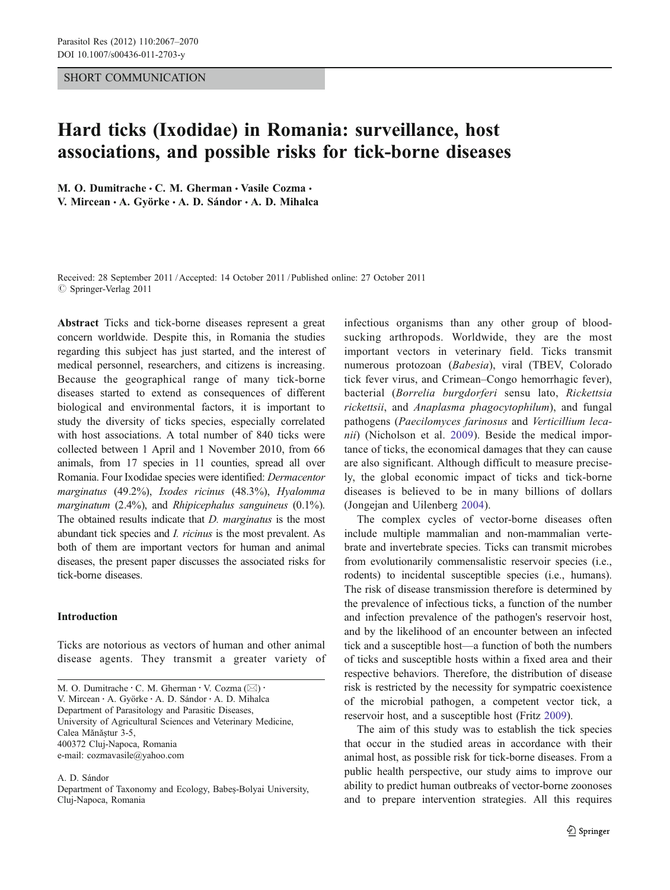## SHORT COMMUNICATION

## Hard ticks (Ixodidae) in Romania: surveillance, host associations, and possible risks for tick-borne diseases

M. O. Dumitrache  $\cdot$  C. M. Gherman  $\cdot$  Vasile Cozma  $\cdot$ V. Mircean · A. Györke · A. D. Sándor · A. D. Mihalca

Received: 28 September 2011 /Accepted: 14 October 2011 / Published online: 27 October 2011  $\oslash$  Springer-Verlag 2011

Abstract Ticks and tick-borne diseases represent a great concern worldwide. Despite this, in Romania the studies regarding this subject has just started, and the interest of medical personnel, researchers, and citizens is increasing. Because the geographical range of many tick-borne diseases started to extend as consequences of different biological and environmental factors, it is important to study the diversity of ticks species, especially correlated with host associations. A total number of 840 ticks were collected between 1 April and 1 November 2010, from 66 animals, from 17 species in 11 counties, spread all over Romania. Four Ixodidae species were identified: Dermacentor marginatus (49.2%), Ixodes ricinus (48.3%), Hyalomma marginatum (2.4%), and Rhipicephalus sanguineus (0.1%). The obtained results indicate that *D. marginatus* is the most abundant tick species and I. ricinus is the most prevalent. As both of them are important vectors for human and animal diseases, the present paper discusses the associated risks for tick-borne diseases.

## Introduction

Ticks are notorious as vectors of human and other animal disease agents. They transmit a greater variety of

V. Mircean : A. Györke : A. D. Sándor : A. D. Mihalca

Department of Parasitology and Parasitic Diseases,

University of Agricultural Sciences and Veterinary Medicine,

Calea Mănăştur 3-5,

400372 Cluj-Napoca, Romania e-mail: cozmavasile@yahoo.com

A. D. Sándor

infectious organisms than any other group of bloodsucking arthropods. Worldwide, they are the most important vectors in veterinary field. Ticks transmit numerous protozoan (Babesia), viral (TBEV, Colorado tick fever virus, and Crimean–Congo hemorrhagic fever), bacterial (Borrelia burgdorferi sensu lato, Rickettsia rickettsii, and Anaplasma phagocytophilum), and fungal pathogens (Paecilomyces farinosus and Verticillium leca-nii) (Nicholson et al. [2009](#page-3-0)). Beside the medical importance of ticks, the economical damages that they can cause are also significant. Although difficult to measure precisely, the global economic impact of ticks and tick-borne diseases is believed to be in many billions of dollars (Jongejan and Uilenberg [2004\)](#page-3-0).

The complex cycles of vector-borne diseases often include multiple mammalian and non-mammalian vertebrate and invertebrate species. Ticks can transmit microbes from evolutionarily commensalistic reservoir species (i.e., rodents) to incidental susceptible species (i.e., humans). The risk of disease transmission therefore is determined by the prevalence of infectious ticks, a function of the number and infection prevalence of the pathogen's reservoir host, and by the likelihood of an encounter between an infected tick and a susceptible host—a function of both the numbers of ticks and susceptible hosts within a fixed area and their respective behaviors. Therefore, the distribution of disease risk is restricted by the necessity for sympatric coexistence of the microbial pathogen, a competent vector tick, a reservoir host, and a susceptible host (Fritz [2009\)](#page-3-0).

The aim of this study was to establish the tick species that occur in the studied areas in accordance with their animal host, as possible risk for tick-borne diseases. From a public health perspective, our study aims to improve our ability to predict human outbreaks of vector-borne zoonoses and to prepare intervention strategies. All this requires

M. O. Dumitrache  $\cdot$  C. M. Gherman  $\cdot$  V. Cozma ( $\boxtimes$ )  $\cdot$ 

Department of Taxonomy and Ecology, Babeş-Bolyai University, Cluj-Napoca, Romania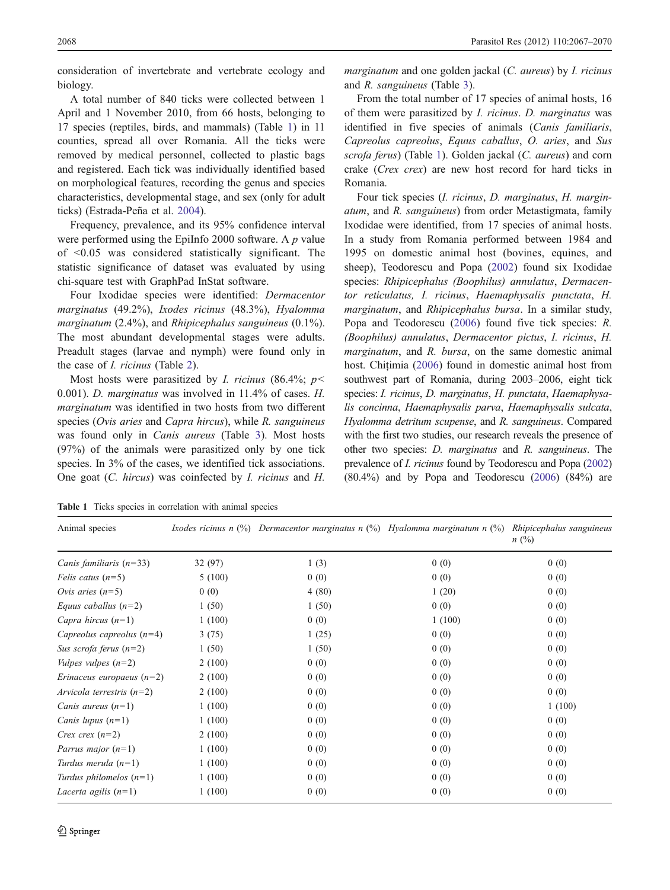consideration of invertebrate and vertebrate ecology and biology.

A total number of 840 ticks were collected between 1 April and 1 November 2010, from 66 hosts, belonging to 17 species (reptiles, birds, and mammals) (Table 1) in 11 counties, spread all over Romania. All the ticks were removed by medical personnel, collected to plastic bags and registered. Each tick was individually identified based on morphological features, recording the genus and species characteristics, developmental stage, and sex (only for adult ticks) (Estrada-Peña et al. [2004\)](#page-3-0).

Frequency, prevalence, and its 95% confidence interval were performed using the EpiInfo 2000 software. A  $p$  value of <0.05 was considered statistically significant. The statistic significance of dataset was evaluated by using chi-square test with GraphPad InStat software.

Four Ixodidae species were identified: Dermacentor marginatus (49.2%), Ixodes ricinus (48.3%), Hyalomma marginatum (2.4%), and Rhipicephalus sanguineus (0.1%). The most abundant developmental stages were adults. Preadult stages (larvae and nymph) were found only in the case of I. ricinus (Table [2](#page-2-0)).

Most hosts were parasitized by *I. ricinus* (86.4%;  $p$  < 0.001). D. marginatus was involved in 11.4% of cases. H. marginatum was identified in two hosts from two different species (Ovis aries and Capra hircus), while R. sanguineus was found only in Canis aureus (Table [3](#page-2-0)). Most hosts (97%) of the animals were parasitized only by one tick species. In 3% of the cases, we identified tick associations. One goat (C. hircus) was coinfected by I. ricinus and H.

marginatum and one golden jackal (C. aureus) by *I. ricinus* and R. sanguineus (Table [3\)](#page-2-0).

From the total number of 17 species of animal hosts, 16 of them were parasitized by I. ricinus. D. marginatus was identified in five species of animals (Canis familiaris, Capreolus capreolus, Equus caballus, O. aries, and Sus scrofa ferus) (Table 1). Golden jackal (C. aureus) and corn crake (Crex crex) are new host record for hard ticks in Romania.

Four tick species (I. ricinus, D. marginatus, H. marginatum, and R. sanguineus) from order Metastigmata, family Ixodidae were identified, from 17 species of animal hosts. In a study from Romania performed between 1984 and 1995 on domestic animal host (bovines, equines, and sheep), Teodorescu and Popa ([2002\)](#page-3-0) found six Ixodidae species: Rhipicephalus (Boophilus) annulatus, Dermacentor reticulatus, I. ricinus, Haemaphysalis punctata, H. marginatum, and Rhipicephalus bursa. In a similar study, Popa and Teodorescu ([2006\)](#page-3-0) found five tick species: R. (Boophilus) annulatus, Dermacentor pictus, I. ricinus, H. marginatum, and R. bursa, on the same domestic animal host. Chițimia [\(2006](#page-3-0)) found in domestic animal host from southwest part of Romania, during 2003–2006, eight tick species: I. ricinus, D. marginatus, H. punctata, Haemaphysalis concinna, Haemaphysalis parva, Haemaphysalis sulcata, Hyalomma detritum scupense, and R. sanguineus. Compared with the first two studies, our research reveals the presence of other two species: D. marginatus and R. sanguineus. The prevalence of I. ricinus found by Teodorescu and Popa ([2002](#page-3-0)) (80.4%) and by Popa and Teodorescu [\(2006](#page-3-0)) (84%) are

Table 1 Ticks species in correlation with animal species

| Animal species               |         | Ixodes ricinus n (%) Dermacentor marginatus n (%) Hyalomma marginatum n (%) Rhipicephalus sanguineus |        | $n\ (\%)$ |
|------------------------------|---------|------------------------------------------------------------------------------------------------------|--------|-----------|
| Canis familiaris $(n=33)$    | 32 (97) | 1(3)                                                                                                 | 0(0)   | 0(0)      |
| <i>Felis catus</i> $(n=5)$   | 5(100)  | 0(0)                                                                                                 | 0(0)   | 0(0)      |
| Ovis aries $(n=5)$           | 0(0)    | 4(80)                                                                                                | 1(20)  | 0(0)      |
| Equus caballus $(n=2)$       | 1(50)   | 1(50)                                                                                                | 0(0)   | 0(0)      |
| Capra hircus $(n=1)$         | 1(100)  | 0(0)                                                                                                 | 1(100) | 0(0)      |
| Capreolus capreolus $(n=4)$  | 3(75)   | 1(25)                                                                                                | 0(0)   | 0(0)      |
| Sus scrofa ferus $(n=2)$     | 1(50)   | 1(50)                                                                                                | 0(0)   | 0(0)      |
| <i>Vulpes vulpes</i> $(n=2)$ | 2(100)  | 0(0)                                                                                                 | 0(0)   | 0(0)      |
| Erinaceus europaeus $(n=2)$  | 2(100)  | 0(0)                                                                                                 | 0(0)   | 0(0)      |
| Arvicola terrestris $(n=2)$  | 2(100)  | 0(0)                                                                                                 | 0(0)   | 0(0)      |
| <i>Canis aureus</i> $(n=1)$  | 1(100)  | 0(0)                                                                                                 | 0(0)   | 1(100)    |
| Canis lupus $(n=1)$          | 1(100)  | 0(0)                                                                                                 | 0(0)   | 0(0)      |
| Crex crex $(n=2)$            | 2(100)  | 0(0)                                                                                                 | 0(0)   | 0(0)      |
| Parrus major $(n=1)$         | 1(100)  | 0(0)                                                                                                 | 0(0)   | 0(0)      |
| Turdus merula $(n=1)$        | 1(100)  | 0(0)                                                                                                 | 0(0)   | 0(0)      |
| Turdus philomelos $(n=1)$    | 1(100)  | 0(0)                                                                                                 | 0(0)   | 0(0)      |
| Lacerta agilis $(n=1)$       | 1(100)  | 0(0)                                                                                                 | 0(0)   | 0(0)      |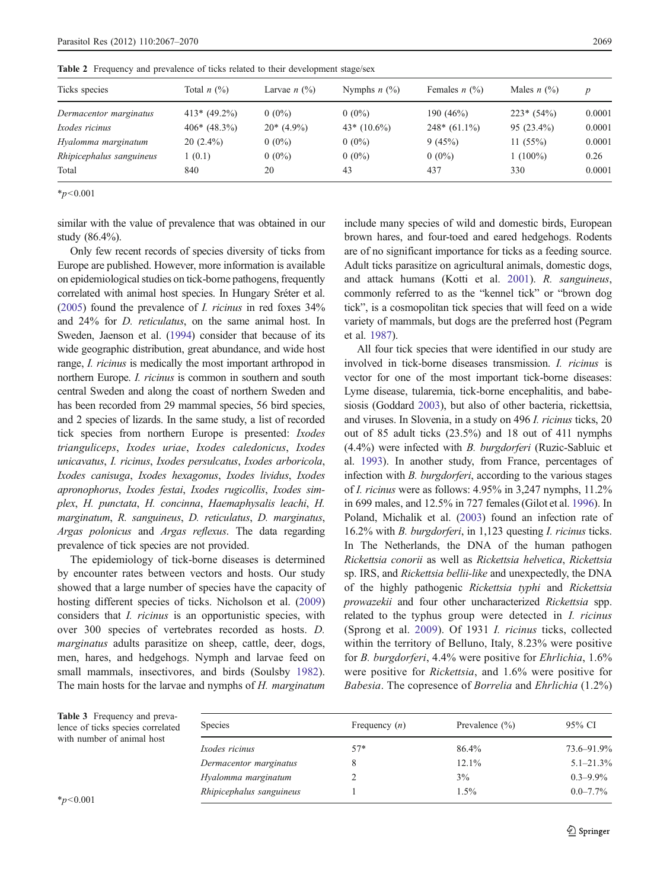| Total <i>n</i> $(\%)$ | Larvae $n$ $\left(\frac{0}{0}\right)$ | Nymphs $n$ $\left(\frac{9}{0}\right)$ | Females $n$ (%) | Males <i>n</i> $(\%)$ | p      |
|-----------------------|---------------------------------------|---------------------------------------|-----------------|-----------------------|--------|
| $413*(49.2\%)$        | $0(0\%)$                              | $0(0\%)$                              | 190 $(46\%)$    | $223*(54%)$           | 0.0001 |
| $406*(48.3%)$         | $20*(4.9\%)$                          | $43*(10.6\%)$                         | $248*(61.1\%)$  | $95(23.4\%)$          | 0.0001 |
| $20(2.4\%)$           | $0(0\%)$                              | $0(0\%)$                              | 9(45%)          | 11(55%)               | 0.0001 |
| 1(0.1)                | $0(0\%)$                              | $0(0\%)$                              | $0(0\%)$        | $1(100\%)$            | 0.26   |
| 840                   | 20                                    | 43                                    | 437             | 330                   | 0.0001 |
|                       |                                       |                                       |                 |                       |        |

<span id="page-2-0"></span>Table 2 Frequency and prevalence of ticks related to their development stage/sex

 $*_{p<0.001}$ 

similar with the value of prevalence that was obtained in our study (86.4%).

Only few recent records of species diversity of ticks from Europe are published. However, more information is available on epidemiological studies on tick-borne pathogens, frequently correlated with animal host species. In Hungary Sréter et al. [\(2005](#page-3-0)) found the prevalence of I. ricinus in red foxes 34% and 24% for D. reticulatus, on the same animal host. In Sweden, Jaenson et al. [\(1994](#page-3-0)) consider that because of its wide geographic distribution, great abundance, and wide host range, I. ricinus is medically the most important arthropod in northern Europe. I. ricinus is common in southern and south central Sweden and along the coast of northern Sweden and has been recorded from 29 mammal species, 56 bird species, and 2 species of lizards. In the same study, a list of recorded tick species from northern Europe is presented: Ixodes trianguliceps, Ixodes uriae, Ixodes caledonicus, Ixodes unicavatus, I. ricinus, Ixodes persulcatus, Ixodes arboricola, Ixodes canisuga, Ixodes hexagonus, Ixodes lividus, Ixodes apronophorus, Ixodes festai, Ixodes rugicollis, Ixodes simplex, H. punctata, H. concinna, Haemaphysalis leachi, H. marginatum, R. sanguineus, D. reticulatus, D. marginatus, Argas polonicus and Argas reflexus. The data regarding prevalence of tick species are not provided.

The epidemiology of tick-borne diseases is determined by encounter rates between vectors and hosts. Our study showed that a large number of species have the capacity of hosting different species of ticks. Nicholson et al. ([2009\)](#page-3-0) considers that I. ricinus is an opportunistic species, with over 300 species of vertebrates recorded as hosts. D. marginatus adults parasitize on sheep, cattle, deer, dogs, men, hares, and hedgehogs. Nymph and larvae feed on small mammals, insectivores, and birds (Soulsby [1982](#page-3-0)). The main hosts for the larvae and nymphs of  $H$ . marginatum

include many species of wild and domestic birds, European brown hares, and four-toed and eared hedgehogs. Rodents are of no significant importance for ticks as a feeding source. Adult ticks parasitize on agricultural animals, domestic dogs, and attack humans (Kotti et al. [2001\)](#page-3-0). R. sanguineus, commonly referred to as the "kennel tick" or "brown dog tick", is a cosmopolitan tick species that will feed on a wide variety of mammals, but dogs are the preferred host (Pegram et al. [1987](#page-3-0)).

All four tick species that were identified in our study are involved in tick-borne diseases transmission. I. ricinus is vector for one of the most important tick-borne diseases: Lyme disease, tularemia, tick-borne encephalitis, and babesiosis (Goddard [2003](#page-3-0)), but also of other bacteria, rickettsia, and viruses. In Slovenia, in a study on 496 I. ricinus ticks, 20 out of 85 adult ticks (23.5%) and 18 out of 411 nymphs (4.4%) were infected with B. burgdorferi (Ruzic-Sabluic et al. [1993](#page-3-0)). In another study, from France, percentages of infection with *B. burgdorferi*, according to the various stages of I. ricinus were as follows: 4.95% in 3,247 nymphs, 11.2% in 699 males, and 12.5% in 727 females (Gilot et al. [1996](#page-3-0)). In Poland, Michalik et al. [\(2003\)](#page-3-0) found an infection rate of 16.2% with B. burgdorferi, in 1,123 questing I. ricinus ticks. In The Netherlands, the DNA of the human pathogen Rickettsia conorii as well as Rickettsia helvetica, Rickettsia sp. IRS, and Rickettsia bellii-like and unexpectedly, the DNA of the highly pathogenic Rickettsia typhi and Rickettsia prowazekii and four other uncharacterized Rickettsia spp. related to the typhus group were detected in I. ricinus (Sprong et al. [2009](#page-3-0)). Of 1931 I. ricinus ticks, collected within the territory of Belluno, Italy, 8.23% were positive for B. burgdorferi, 4.4% were positive for Ehrlichia, 1.6% were positive for Rickettsia, and 1.6% were positive for Babesia. The copresence of Borrelia and Ehrlichia (1.2%)

| Table 3 Frequency and preva-      |
|-----------------------------------|
| lence of ticks species correlated |
| with number of animal host        |

| <b>Species</b>           | Frequency $(n)$ | Prevalence $(\% )$ | 95% CI         |
|--------------------------|-----------------|--------------------|----------------|
| Ixodes ricinus           | $57*$           | 86.4%              | 73.6–91.9%     |
| Dermacentor marginatus   | 8               | 12.1%              | $5.1 - 21.3\%$ |
| Hyalomma marginatum      |                 | $3\%$              | $0.3 - 9.9\%$  |
| Rhipicephalus sanguineus |                 | $1.5\%$            | $0.0 - 7.7\%$  |
|                          |                 |                    |                |